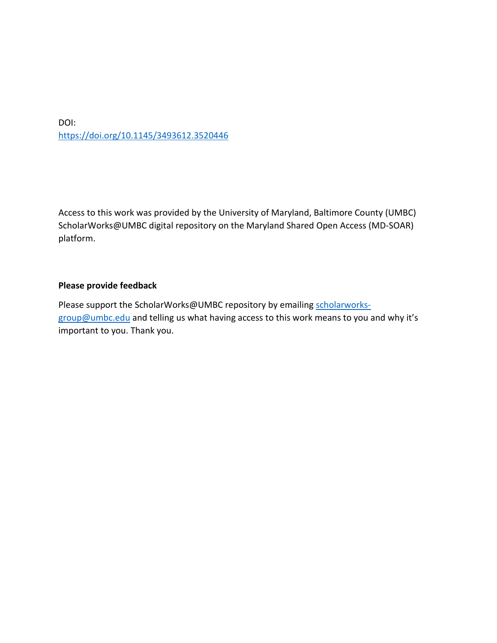DOI: <https://doi.org/10.1145/3493612.3520446>

Access to this work was provided by the University of Maryland, Baltimore County (UMBC) ScholarWorks@UMBC digital repository on the Maryland Shared Open Access (MD-SOAR) platform.

## **Please provide feedback**

Please support the ScholarWorks@UMBC repository by emailing [scholarworks](mailto:scholarworks-group@umbc.edu)[group@umbc.edu](mailto:scholarworks-group@umbc.edu) and telling us what having access to this work means to you and why it's important to you. Thank you.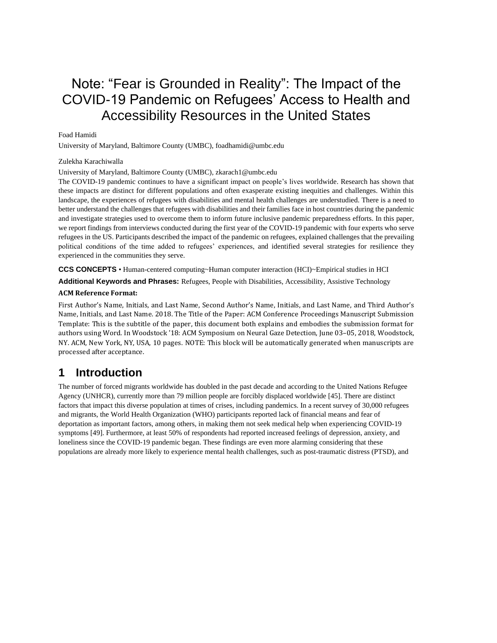# Note: "Fear is Grounded in Reality": The Impact of the COVID-19 Pandemic on Refugees' Access to Health and Accessibility Resources in the United States

### Foad Hamidi

University of Maryland, Baltimore County (UMBC), foadhamidi@umbc.edu

#### Zulekha Karachiwalla

University of Maryland, Baltimore County (UMBC), zkarach1@umbc.edu

The COVID-19 pandemic continues to have a significant impact on people's lives worldwide. Research has shown that these impacts are distinct for different populations and often exasperate existing inequities and challenges. Within this landscape, the experiences of refugees with disabilities and mental health challenges are understudied. There is a need to better understand the challenges that refugees with disabilities and their families face in host countries during the pandemic and investigate strategies used to overcome them to inform future inclusive pandemic preparedness efforts. In this paper, we report findings from interviews conducted during the first year of the COVID-19 pandemic with four experts who serve refugees in the US. Participants described the impact of the pandemic on refugees, explained challenges that the prevailing political conditions of the time added to refugees' experiences, and identified several strategies for resilience they experienced in the communities they serve.

**CCS CONCEPTS** • Human-centered computing~Human computer interaction (HCI)~Empirical studies in HCI

**Additional Keywords and Phrases:** Refugees, People with Disabilities, Accessibility, Assistive Technology

#### **ACM Reference Format:**

First Author's Name, Initials, and Last Name, Second Author's Name, Initials, and Last Name, and Third Author's Name, Initials, and Last Name. 2018. The Title of the Paper: ACM Conference Proceedings Manuscript Submission Template: This is the subtitle of the paper, this document both explains and embodies the submission format for authors using Word. In Woodstock '18: ACM Symposium on Neural Gaze Detection, June 03–05, 2018, Woodstock, NY. ACM, New York, NY, USA, 10 pages. NOTE: This block will be automatically generated when manuscripts are processed after acceptance.

# **1 Introduction**

The number of forced migrants worldwide has doubled in the past decade and according to the United Nations Refugee Agency (UNHCR), currently more than 79 million people are forcibly displaced worldwide [45]. There are distinct factors that impact this diverse population at times of crises, including pandemics. In a recent survey of 30,000 refugees and migrants, the World Health Organization (WHO) participants reported lack of financial means and fear of deportation as important factors, among others, in making them not seek medical help when experiencing COVID-19 symptoms [49]. Furthermore, at least 50% of respondents had reported increased feelings of depression, anxiety, and loneliness since the COVID-19 pandemic began. These findings are even more alarming considering that these populations are already more likely to experience mental health challenges, such as post-traumatic distress (PTSD), and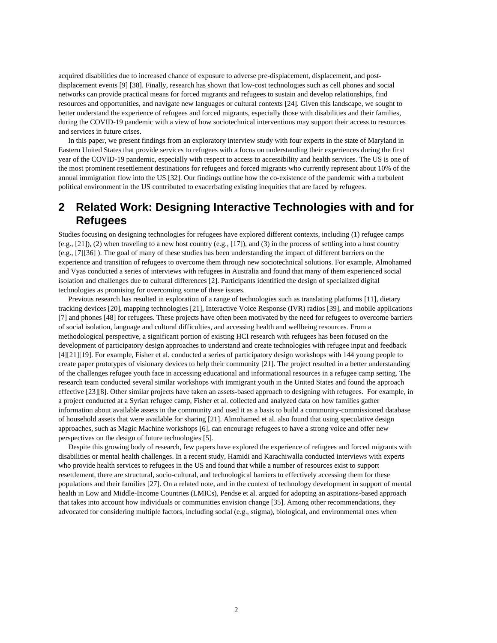acquired disabilities due to increased chance of exposure to adverse pre-displacement, displacement, and postdisplacement events [9] [38]. Finally, research has shown that low-cost technologies such as cell phones and social networks can provide practical means for forced migrants and refugees to sustain and develop relationships, find resources and opportunities, and navigate new languages or cultural contexts [24]. Given this landscape, we sought to better understand the experience of refugees and forced migrants, especially those with disabilities and their families, during the COVID-19 pandemic with a view of how sociotechnical interventions may support their access to resources and services in future crises.

In this paper, we present findings from an exploratory interview study with four experts in the state of Maryland in Eastern United States that provide services to refugees with a focus on understanding their experiences during the first year of the COVID-19 pandemic, especially with respect to access to accessibility and health services. The US is one of the most prominent resettlement destinations for refugees and forced migrants who currently represent about 10% of the annual immigration flow into the US [32]. Our findings outline how the co-existence of the pandemic with a turbulent political environment in the US contributed to exacerbating existing inequities that are faced by refugees.

# **2 Related Work: Designing Interactive Technologies with and for Refugees**

Studies focusing on designing technologies for refugees have explored different contexts, including (1) refugee camps  $(e.g., [21]), (2)$  when traveling to a new host country  $(e.g., [17]),$  and  $(3)$  in the process of settling into a host country (e.g., [7][36] ). The goal of many of these studies has been understanding the impact of different barriers on the experience and transition of refugees to overcome them through new sociotechnical solutions. For example, Almohamed and Vyas conducted a series of interviews with refugees in Australia and found that many of them experienced social isolation and challenges due to cultural differences [2]. Participants identified the design of specialized digital technologies as promising for overcoming some of these issues.

Previous research has resulted in exploration of a range of technologies such as translating platforms [11], dietary tracking devices [20], mapping technologies [21], Interactive Voice Response (IVR) radios [39], and mobile applications [7] and phones [48] for refugees. These projects have often been motivated by the need for refugees to overcome barriers of social isolation, language and cultural difficulties, and accessing health and wellbeing resources. From a methodological perspective, a significant portion of existing HCI research with refugees has been focused on the development of participatory design approaches to understand and create technologies with refugee input and feedback [4][21][19]. For example, Fisher et al. conducted a series of participatory design workshops with 144 young people to create paper prototypes of visionary devices to help their community [21]. The project resulted in a better understanding of the challenges refugee youth face in accessing educational and informational resources in a refugee camp setting. The research team conducted several similar workshops with immigrant youth in the United States and found the approach effective [23][8]. Other similar projects have taken an assets-based approach to designing with refugees. For example, in a project conducted at a Syrian refugee camp, Fisher et al. collected and analyzed data on how families gather information about available assets in the community and used it as a basis to build a community-commissioned database of household assets that were available for sharing [21]. Almohamed et al. also found that using speculative design approaches, such as Magic Machine workshops [6], can encourage refugees to have a strong voice and offer new perspectives on the design of future technologies [5].

Despite this growing body of research, few papers have explored the experience of refugees and forced migrants with disabilities or mental health challenges. In a recent study, Hamidi and Karachiwalla conducted interviews with experts who provide health services to refugees in the US and found that while a number of resources exist to support resettlement, there are structural, socio-cultural, and technological barriers to effectively accessing them for these populations and their families [27]. On a related note, and in the context of technology development in support of mental health in Low and Middle-Income Countries (LMICs), Pendse et al. argued for adopting an aspirations-based approach that takes into account how individuals or communities envision change [35]. Among other recommendations, they advocated for considering multiple factors, including social (e.g., stigma), biological, and environmental ones when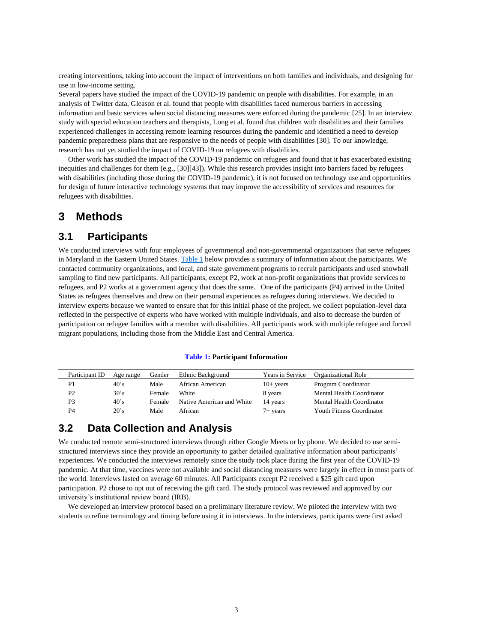creating interventions, taking into account the impact of interventions on both families and individuals, and designing for use in low-income setting.

Several papers have studied the impact of the COVID-19 pandemic on people with disabilities. For example, in an analysis of Twitter data, Gleason et al. found that people with disabilities faced numerous barriers in accessing information and basic services when social distancing measures were enforced during the pandemic [25]. In an interview study with special education teachers and therapists, Long et al. found that children with disabilities and their families experienced challenges in accessing remote learning resources during the pandemic and identified a need to develop pandemic preparedness plans that are responsive to the needs of people with disabilities [30]. To our knowledge, research has not yet studied the impact of COVID-19 on refugees with disabilities.

Other work has studied the impact of the COVID-19 pandemic on refugees and found that it has exacerbated existing inequities and challenges for them (e.g., [30][43]). While this research provides insight into barriers faced by refugees with disabilities (including those during the COVID-19 pandemic), it is not focused on technology use and opportunities for design of future interactive technology systems that may improve the accessibility of services and resources for refugees with disabilities.

# **3 Methods**

## **3.1 Participants**

We conducted interviews with four employees of governmental and non-governmental organizations that serve refugees in Maryland in the Eastern United States. [Table 1](#page-3-0) below provides a summary of information about the participants. We contacted community organizations, and local, and state government programs to recruit participants and used snowball sampling to find new participants. All participants, except P2, work at non-profit organizations that provide services to refugees, and P2 works at a government agency that does the same. One of the participants (P4) arrived in the United States as refugees themselves and drew on their personal experiences as refugees during interviews. We decided to interview experts because we wanted to ensure that for this initial phase of the project, we collect population-level data reflected in the perspective of experts who have worked with multiple individuals, and also to decrease the burden of participation on refugee families with a member with disabilities. All participants work with multiple refugee and forced migrant populations, including those from the Middle East and Central America.

#### **Table 1: Participant Information**

<span id="page-3-0"></span>

| Participant ID | Age range    | Gender | Ethnic Background         | Years in Service   | Organizational Role              |
|----------------|--------------|--------|---------------------------|--------------------|----------------------------------|
| P1             | $40^\circ s$ | Male   | African American          | $10+$ years        | Program Coordinator              |
| P2             | $30^\circ s$ | Female | White                     | 8 years            | Mental Health Coordinator        |
| P3             | $40^\circ s$ | Female | Native American and White | 14 years           | Mental Health Coordinator        |
| P4             | 20's         | Male   | African                   | $7 + \text{years}$ | <b>Youth Fitness Coordinator</b> |

## **3.2 Data Collection and Analysis**

We conducted remote semi-structured interviews through either Google Meets or by phone. We decided to use semistructured interviews since they provide an opportunity to gather detailed qualitative information about participants' experiences. We conducted the interviews remotely since the study took place during the first year of the COVID-19 pandemic. At that time, vaccines were not available and social distancing measures were largely in effect in most parts of the world. Interviews lasted on average 60 minutes. All Participants except P2 received a \$25 gift card upon participation. P2 chose to opt out of receiving the gift card. The study protocol was reviewed and approved by our university's institutional review board (IRB).

We developed an interview protocol based on a preliminary literature review. We piloted the interview with two students to refine terminology and timing before using it in interviews. In the interviews, participants were first asked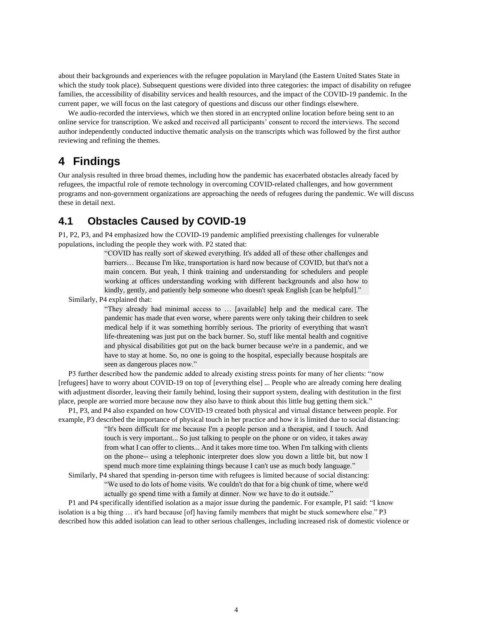about their backgrounds and experiences with the refugee population in Maryland (the Eastern United States State in which the study took place). Subsequent questions were divided into three categories: the impact of disability on refugee families, the accessibility of disability services and health resources, and the impact of the COVID-19 pandemic. In the current paper, we will focus on the last category of questions and discuss our other findings elsewhere.

We audio-recorded the interviews, which we then stored in an encrypted online location before being sent to an online service for transcription. We asked and received all participants' consent to record the interviews. The second author independently conducted inductive thematic analysis on the transcripts which was followed by the first author reviewing and refining the themes.

# **4 Findings**

Our analysis resulted in three broad themes, including how the pandemic has exacerbated obstacles already faced by refugees, the impactful role of remote technology in overcoming COVID-related challenges, and how government programs and non-government organizations are approaching the needs of refugees during the pandemic. We will discuss these in detail next.

# **4.1 Obstacles Caused by COVID-19**

P1, P2, P3, and P4 emphasized how the COVID-19 pandemic amplified preexisting challenges for vulnerable populations, including the people they work with. P2 stated that:

> "COVID has really sort of skewed everything. It's added all of these other challenges and barriers… Because I'm like, transportation is hard now because of COVID, but that's not a main concern. But yeah, I think training and understanding for schedulers and people working at offices understanding working with different backgrounds and also how to kindly, gently, and patiently help someone who doesn't speak English [can be helpful]."

Similarly, P4 explained that:

"They already had minimal access to … [available] help and the medical care. The pandemic has made that even worse, where parents were only taking their children to seek medical help if it was something horribly serious. The priority of everything that wasn't life-threatening was just put on the back burner. So, stuff like mental health and cognitive and physical disabilities got put on the back burner because we're in a pandemic, and we have to stay at home. So, no one is going to the hospital, especially because hospitals are seen as dangerous places now."

P3 further described how the pandemic added to already existing stress points for many of her clients: "now [refugees] have to worry about COVID-19 on top of [everything else] ... People who are already coming here dealing with adjustment disorder, leaving their family behind, losing their support system, dealing with destitution in the first place, people are worried more because now they also have to think about this little bug getting them sick."

P1, P3, and P4 also expanded on how COVID-19 created both physical and virtual distance between people. For example, P3 described the importance of physical touch in her practice and how it is limited due to social distancing:

> "It's been difficult for me because I'm a people person and a therapist, and I touch. And touch is very important... So just talking to people on the phone or on video, it takes away from what I can offer to clients... And it takes more time too. When I'm talking with clients on the phone-- using a telephonic interpreter does slow you down a little bit, but now I spend much more time explaining things because I can't use as much body language."

Similarly, P4 shared that spending in-person time with refugees is limited because of social distancing: "We used to do lots of home visits. We couldn't do that for a big chunk of time, where we'd actually go spend time with a family at dinner. Now we have to do it outside."

P1 and P4 specifically identified isolation as a major issue during the pandemic. For example, P1 said: "I know isolation is a big thing … it's hard because [of] having family members that might be stuck somewhere else." P3 described how this added isolation can lead to other serious challenges, including increased risk of domestic violence or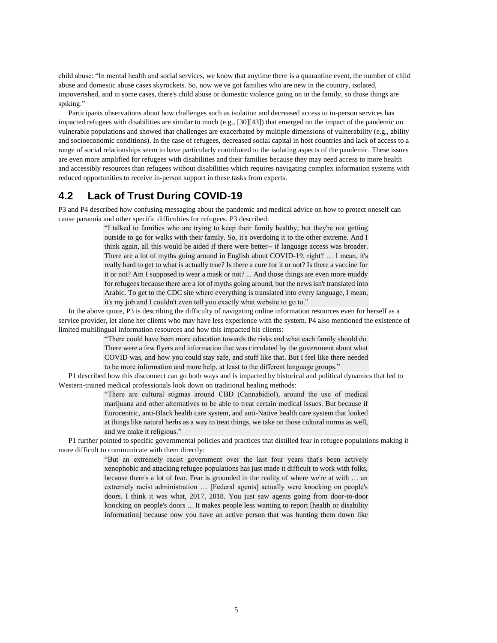child abuse: "In mental health and social services, we know that anytime there is a quarantine event, the number of child abuse and domestic abuse cases skyrockets. So, now we've got families who are new in the country, isolated, impoverished, and in some cases, there's child abuse or domestic violence going on in the family, so those things are spiking."

Participants observations about how challenges such as isolation and decreased access to in-person services has impacted refugees with disabilities are similar to much (e.g., [30][43]) that emerged on the impact of the pandemic on vulnerable populations and showed that challenges are exacerbated by multiple dimensions of vulnerability (e.g., ability and socioeconomic conditions). In the case of refugees, decreased social capital in host countries and lack of access to a range of social relationships seem to have particularly contributed to the isolating aspects of the pandemic. These issues are even more amplified for refugees with disabilities and their families because they may need access to more health and accessibly resources than refugees without disabilities which requires navigating complex information systems with reduced opportunities to receive in-person support in these tasks from experts.

# **4.2 Lack of Trust During COVID-19**

P3 and P4 described how confusing messaging about the pandemic and medical advice on how to protect oneself can cause paranoia and other specific difficulties for refugees. P3 described:

> "I talked to families who are trying to keep their family healthy, but they're not getting outside to go for walks with their family. So, it's overdoing it to the other extreme. And I think again, all this would be aided if there were better-- if language access was broader. There are a lot of myths going around in English about COVID-19, right? … I mean, it's really hard to get to what is actually true? Is there a cure for it or not? Is there a vaccine for it or not? Am I supposed to wear a mask or not? ... And those things are even more muddy for refugees because there are a lot of myths going around, but the news isn't translated into Arabic. To get to the CDC site where everything is translated into every language, I mean, it's my job and I couldn't even tell you exactly what website to go to."

In the above quote, P3 is describing the difficulty of navigating online information resources even for herself as a service provider, let alone her clients who may have less experience with the system. P4 also mentioned the existence of limited multilingual information resources and how this impacted his clients:

> "There could have been more education towards the risks and what each family should do. There were a few flyers and information that was circulated by the government about what COVID was, and how you could stay safe, and stuff like that. But I feel like there needed to be more information and more help, at least to the different language groups."

P1 described how this disconnect can go both ways and is impacted by historical and political dynamics that led to Western-trained medical professionals look down on traditional healing methods:

> "There are cultural stigmas around CBD (Cannabidiol), around the use of medical marijuana and other alternatives to be able to treat certain medical issues. But because if Eurocentric, anti-Black health care system, and anti-Native health care system that looked at things like natural herbs as a way to treat things, we take on those cultural norms as well, and we make it religious."

P1 further pointed to specific governmental policies and practices that distilled fear in refugee populations making it more difficult to communicate with them directly:

> "But an extremely racist government over the last four years that's been actively xenophobic and attacking refugee populations has just made it difficult to work with folks, because there's a lot of fear. Fear is grounded in the reality of where we're at with … an extremely racist administration … [Federal agents] actually were knocking on people's doors. I think it was what, 2017, 2018. You just saw agents going from door-to-door knocking on people's doors ... It makes people less wanting to report [health or disability information] because now you have an active person that was hunting them down like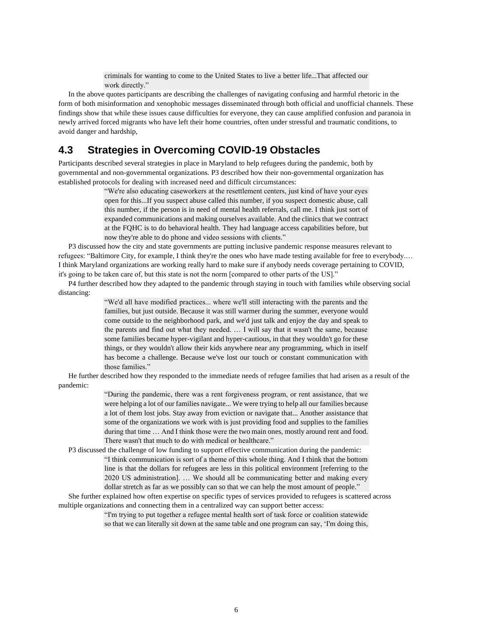criminals for wanting to come to the United States to live a better life...That affected our work directly."

In the above quotes participants are describing the challenges of navigating confusing and harmful rhetoric in the form of both misinformation and xenophobic messages disseminated through both official and unofficial channels. These findings show that while these issues cause difficulties for everyone, they can cause amplified confusion and paranoia in newly arrived forced migrants who have left their home countries, often under stressful and traumatic conditions, to avoid danger and hardship,

# **4.3 Strategies in Overcoming COVID-19 Obstacles**

Participants described several strategies in place in Maryland to help refugees during the pandemic, both by governmental and non-governmental organizations. P3 described how their non-governmental organization has established protocols for dealing with increased need and difficult circumstances:

> "We're also educating caseworkers at the resettlement centers, just kind of have your eyes open for this...If you suspect abuse called this number, if you suspect domestic abuse, call this number, if the person is in need of mental health referrals, call me. I think just sort of expanded communications and making ourselves available. And the clinics that we contract at the FQHC is to do behavioral health. They had language access capabilities before, but now they're able to do phone and video sessions with clients."

P3 discussed how the city and state governments are putting inclusive pandemic response measures relevant to refugees: "Baltimore City, for example, I think they're the ones who have made testing available for free to everybody.… I think Maryland organizations are working really hard to make sure if anybody needs coverage pertaining to COVID, it's going to be taken care of, but this state is not the norm [compared to other parts of the US]."

P4 further described how they adapted to the pandemic through staying in touch with families while observing social distancing:

> "We'd all have modified practices... where we'll still interacting with the parents and the families, but just outside. Because it was still warmer during the summer, everyone would come outside to the neighborhood park, and we'd just talk and enjoy the day and speak to the parents and find out what they needed. … I will say that it wasn't the same, because some families became hyper-vigilant and hyper-cautious, in that they wouldn't go for these things, or they wouldn't allow their kids anywhere near any programming, which in itself has become a challenge. Because we've lost our touch or constant communication with those families."

He further described how they responded to the immediate needs of refugee families that had arisen as a result of the pandemic:

> "During the pandemic, there was a rent forgiveness program, or rent assistance, that we were helping a lot of our families navigate... We were trying to help all our families because a lot of them lost jobs. Stay away from eviction or navigate that... Another assistance that some of the organizations we work with is just providing food and supplies to the families during that time ... And I think those were the two main ones, mostly around rent and food. There wasn't that much to do with medical or healthcare."

P3 discussed the challenge of low funding to support effective communication during the pandemic: "I think communication is sort of a theme of this whole thing. And I think that the bottom line is that the dollars for refugees are less in this political environment [referring to the 2020 US administration]. … We should all be communicating better and making every dollar stretch as far as we possibly can so that we can help the most amount of people."

She further explained how often expertise on specific types of services provided to refugees is scattered across multiple organizations and connecting them in a centralized way can support better access:

> "I'm trying to put together a refugee mental health sort of task force or coalition statewide so that we can literally sit down at the same table and one program can say, 'I'm doing this,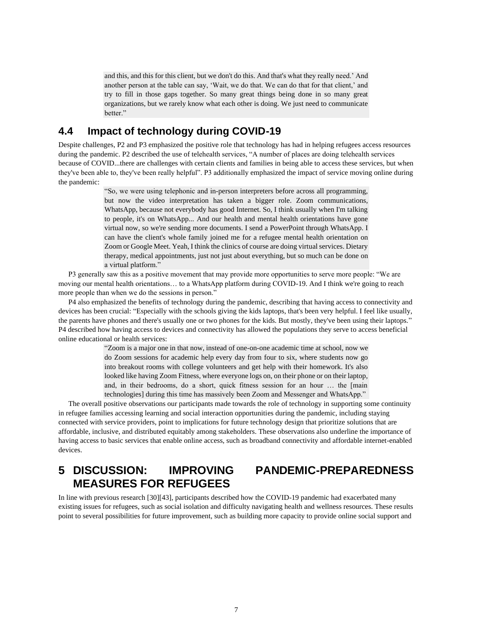and this, and this for this client, but we don't do this. And that's what they really need.' And another person at the table can say, 'Wait, we do that. We can do that for that client,' and try to fill in those gaps together. So many great things being done in so many great organizations, but we rarely know what each other is doing. We just need to communicate better."

## **4.4 Impact of technology during COVID-19**

Despite challenges, P2 and P3 emphasized the positive role that technology has had in helping refugees access resources during the pandemic. P2 described the use of telehealth services, "A number of places are doing telehealth services because of COVID...there are challenges with certain clients and families in being able to access these services, but when they've been able to, they've been really helpful". P3 additionally emphasized the impact of service moving online during the pandemic:

> "So, we were using telephonic and in-person interpreters before across all programming, but now the video interpretation has taken a bigger role. Zoom communications, WhatsApp, because not everybody has good Internet. So, I think usually when I'm talking to people, it's on WhatsApp... And our health and mental health orientations have gone virtual now, so we're sending more documents. I send a PowerPoint through WhatsApp. I can have the client's whole family joined me for a refugee mental health orientation on Zoom or Google Meet. Yeah, I think the clinics of course are doing virtual services. Dietary therapy, medical appointments, just not just about everything, but so much can be done on a virtual platform."

P3 generally saw this as a positive movement that may provide more opportunities to serve more people: "We are moving our mental health orientations… to a WhatsApp platform during COVID-19. And I think we're going to reach more people than when we do the sessions in person."

P4 also emphasized the benefits of technology during the pandemic, describing that having access to connectivity and devices has been crucial: "Especially with the schools giving the kids laptops, that's been very helpful. I feel like usually, the parents have phones and there's usually one or two phones for the kids. But mostly, they've been using their laptops." P4 described how having access to devices and connectivity has allowed the populations they serve to access beneficial online educational or health services:

> "Zoom is a major one in that now, instead of one-on-one academic time at school, now we do Zoom sessions for academic help every day from four to six, where students now go into breakout rooms with college volunteers and get help with their homework. It's also looked like having Zoom Fitness, where everyone logs on, on their phone or on their laptop, and, in their bedrooms, do a short, quick fitness session for an hour … the [main technologies] during this time has massively been Zoom and Messenger and WhatsApp."

The overall positive observations our participants made towards the role of technology in supporting some continuity in refugee families accessing learning and social interaction opportunities during the pandemic, including staying connected with service providers, point to implications for future technology design that prioritize solutions that are affordable, inclusive, and distributed equitably among stakeholders. These observations also underline the importance of having access to basic services that enable online access, such as broadband connectivity and affordable internet-enabled devices.

# **5 DISCUSSION: IMPROVING PANDEMIC-PREPAREDNESS MEASURES FOR REFUGEES**

In line with previous research [30][43], participants described how the COVID-19 pandemic had exacerbated many existing issues for refugees, such as social isolation and difficulty navigating health and wellness resources. These results point to several possibilities for future improvement, such as building more capacity to provide online social support and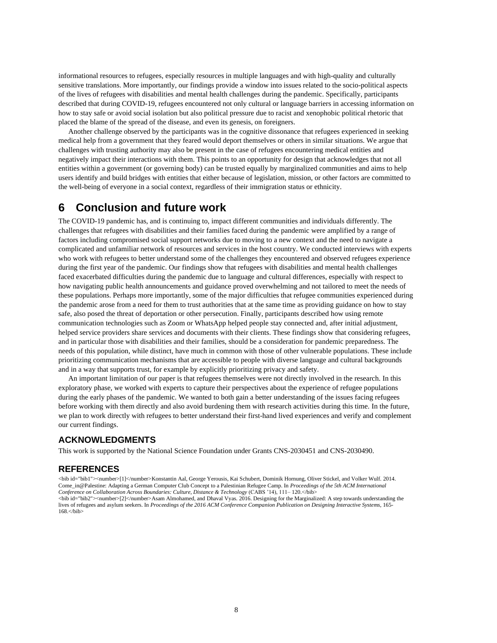informational resources to refugees, especially resources in multiple languages and with high-quality and culturally sensitive translations. More importantly, our findings provide a window into issues related to the socio-political aspects of the lives of refugees with disabilities and mental health challenges during the pandemic. Specifically, participants described that during COVID-19, refugees encountered not only cultural or language barriers in accessing information on how to stay safe or avoid social isolation but also political pressure due to racist and xenophobic political rhetoric that placed the blame of the spread of the disease, and even its genesis, on foreigners.

Another challenge observed by the participants was in the cognitive dissonance that refugees experienced in seeking medical help from a government that they feared would deport themselves or others in similar situations. We argue that challenges with trusting authority may also be present in the case of refugees encountering medical entities and negatively impact their interactions with them. This points to an opportunity for design that acknowledges that not all entities within a government (or governing body) can be trusted equally by marginalized communities and aims to help users identify and build bridges with entities that either because of legislation, mission, or other factors are committed to the well-being of everyone in a social context, regardless of their immigration status or ethnicity.

# **6 Conclusion and future work**

The COVID-19 pandemic has, and is continuing to, impact different communities and individuals differently. The challenges that refugees with disabilities and their families faced during the pandemic were amplified by a range of factors including compromised social support networks due to moving to a new context and the need to navigate a complicated and unfamiliar network of resources and services in the host country. We conducted interviews with experts who work with refugees to better understand some of the challenges they encountered and observed refugees experience during the first year of the pandemic. Our findings show that refugees with disabilities and mental health challenges faced exacerbated difficulties during the pandemic due to language and cultural differences, especially with respect to how navigating public health announcements and guidance proved overwhelming and not tailored to meet the needs of these populations. Perhaps more importantly, some of the major difficulties that refugee communities experienced during the pandemic arose from a need for them to trust authorities that at the same time as providing guidance on how to stay safe, also posed the threat of deportation or other persecution. Finally, participants described how using remote communication technologies such as Zoom or WhatsApp helped people stay connected and, after initial adjustment, helped service providers share services and documents with their clients. These findings show that considering refugees, and in particular those with disabilities and their families, should be a consideration for pandemic preparedness. The needs of this population, while distinct, have much in common with those of other vulnerable populations. These include prioritizing communication mechanisms that are accessible to people with diverse language and cultural backgrounds and in a way that supports trust, for example by explicitly prioritizing privacy and safety.

An important limitation of our paper is that refugees themselves were not directly involved in the research. In this exploratory phase, we worked with experts to capture their perspectives about the experience of refugee populations during the early phases of the pandemic. We wanted to both gain a better understanding of the issues facing refugees before working with them directly and also avoid burdening them with research activities during this time. In the future, we plan to work directly with refugees to better understand their first-hand lived experiences and verify and complement our current findings.

## **ACKNOWLEDGMENTS**

This work is supported by the National Science Foundation under Grants CNS-2030451 and CNS-2030490.

## **REFERENCES**

<bib id="bib1"><number>[1]</number>Konstantin Aal, George Yerousis, Kai Schubert, Dominik Hornung, Oliver Stickel, and Volker Wulf. 2014. Come\_in@Palestine: Adapting a German Computer Club Concept to a Palestinian Refugee Camp. In *Proceedings of the 5th ACM International Conference on Collaboration Across Boundaries: Culture, Distance & Technology* (CABS '14), 111– 120.</bib> <bib id="bib2"><number>[2]</number>Asam Almohamed, and Dhaval Vyas. 2016. Designing for the Marginalized: A step towards understanding the lives of refugees and asylum seekers. In *Proceedings of the 2016 ACM Conference Companion Publication on Designing Interactive Systems*, 165-  $168$ </bib>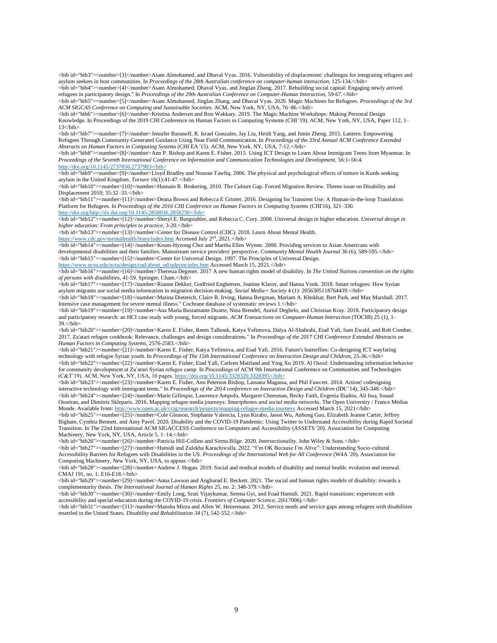<bib id="bib3"><number>[3]</number>Asam Almohamed, and Dhaval Vyas. 2016. Vulnerability of displacement: challenges for integrating refugees and asylum seekers in host communities. In *Proceedings of the 28th Australian conference on computer-human interaction*, 125-134.</bib>

<bib id="bib4"><number>[4]</number>Asam Almohamed, Dhaval Vyas, and Jinglan Zhang. 2017. Rebuilding social capital: Engaging newly arrived refugees in participatory design." In *Proceedings of the 29th Australian Conference on Computer-Human Interaction*, 59-67.</bib>

<bib id="bib5"><number>[5]</number>Asam Almohamed, Jinglan Zhang, and Dhaval Vyas. 2020. Magic Machines for Refugees. *Proceedings of the 3rd ACM SIGCAS Conference on Computing and Sustainable Societies*. ACM, New York, NY, USA, 76–86.</bib>

<bib id="bib6"><number>[6]</number>Kristina Andersen and Ron Wakkary. 2019. The Magic Machine Workshops: Making Personal Design Knowledge. In Proceedings of the 2019 CHI Conference on Human Factors in Computing Systems (CHI '19). ACM, New York, NY, USA, Paper 112, 1–  $13$   $<sub>bib></sub>$ 

<bib id="bib7"><number>[7]</number>Jennifer Baranoff, R. Israel Gonzales, Jay Liu, Heidi Yang, and Jimin Zheng. 2015. Lantern: Empowering Refugees Through Community-Generated Guidance Using Near Field Communication. In *Proceedings of the 33rd Annual ACM Conference Extended Abstracts on Human Factors in Computing Systems* (CHI EA '15). ACM, New York, NY, USA, 7-12.</bib>

<bib id="bib8"><number>[8]</number>Ann P. Bishop and Karen E. Fisher. 2015. Using ICT Design to Learn About Immigrant Teens from Myanmar. In Proceedings of the Seventh International Conference on Information and Communication Technologies and Development, 56:1–56:4. [http://doi.org/10.1145/2737856.2737903<](http://doi.org/10.1145/2737856.2737903)/bib>

<bib id="bib9"><number>[9]</number>Lloyd Bradley and Nouran Tawfiq. 2006. The physical and psychological effects of torture in Kurds seeking asylum in the United Kingdom. *Torture* 16(1):41-47. </bib>

<bib id="bib10"><number>[10]</number>Hasnain R. Brokering. 2010. The Culture Gap. Forced Migration Review. Theme issue on Disability and Displacement 2010; 35:32-33.</bib>

<bib id="bib11"><number>[11]</number>Deana Brown and Rebecca E Grinter. 2016. Designing for Transient Use: A Human-in-the-loop Translation Platform for Refugees. In *Proceedings of the 2016 CHI Conference on Human Factors in Computing Systems* (CHI'16), 321–330. [http://doi.org/http://dx.doi.org/10.1145/2858036.2858230<](http://doi.org/http:/dx.doi.org/10.1145/2858036.2858230)/bib>

<bib id="bib12"><number>[12]</number>Sheryl E. Burgstahler, and Rebecca C. Cory. 2008. Universal design in higher education. *Universal design in higher education: From principles to practice*, 3-20.</bib>

<bib id="bib13"><number>[13]</number>Center for Disease Control (CDC). 2018. Learn About Mental Health.

<https://www.cdc.gov/mentalhealth/learn/index.htm> Accessed July 2nd, 2021.</bib>

<bib id="bib14"><number>[14]</number>Keum-Hyeong Choi and Martha Ellen Wynne. 2000. Providing services to Asian Americans with developmental disabilities and their families: Mainstream service providers' perspective. *Community Mental Health Journal* 36 (6), 589-595.  $\langle$ bib> <bib id="bib15"><number>[15]</number>Center for Universal Design. 1997. The Principles of Universal Design. [https://www.ncsu.edu/ncsu/design/cud/about\\_ud/udprinciples.htm](https://www.ncsu.edu/ncsu/design/cud/about_ud/udprinciples.htm) Accessed March 15, 2021.</br/>bib>

<bib id="bib16"><number>[16]</number>Theresia Degener. 2017 A new human rights model of disability. In *The United Nations convention on the rights of persons with disabilities*, 41-59. Springer, Cham.</bib>

<bib id="bib17"><number>[17]</number>Rianne Dekker, Godfried Engbersen, Jeanine Klaver, and Hanna Vonk. 2018. Smart refugees: How Syrian asylum migrants use social media information in migration decision-making. *Social Media+ Society* 4 (1): 2056305118764439.</bib> <bib id="bib18"><number>[18]</number>Marina Dieterich, Claire B. Irving, Hanna Bergman, Mariam A. Khokhar, Bert Park, and Max Marshall. 2017.

Intensive case management for severe mental illness." Cochrane database of systematic reviews 1.</bib> <bib id="bib19"><number>[19]</number>Ana Maria Bustamante Duarte, Nina Brendel, Auriol Degbelo, and Christian Kray. 2018. Participatory design and participatory research: an HCI case study with young, forced migrants. *ACM Transactions on Computer-Human Interaction* (TOCHI) 25 (1), 1-

 $39$ . $\lt$ /bib> <bib id="bib20"><number>[20]</number>Karen E. Fisher, Reem Talhouk, Katya Yefimova, Dalya Al-Shahrabi, Eiad Yafi, Sam Ewald, and Rob Comber. 2017. Za'atari refugee cookbook: Relevance, challenges and design considerations." In *Proceedings of the 2017 CHI Conference Extended Abstracts on* 

*Human Factors in Computing Systems*, 2576-2583.</bib> <bib id="bib21"><number>[21]</number>Karen E. Fisher, Katya Yefimova, and Eiad Yafi. 2016. Future's butterflies: Co-designing ICT wayfaring technology with refugee Syrian youth. In *Proceedings of The 15th International Conference on Interaction Design and Children*, 25-36.</bib>

<bib id="bib22"><number>[22]</number>Karen E. Fisher, Eiad Yafi, Carleen Maitland and Ying Xu 2019. Al Osool: Understanding information behavior for community development at Za'atari Syrian refugee camp. In Proceedings of ACM 9th International Conference on Communities and Technologies (C&T'19). ACM, New York, NY, USA, 10 pages[. https://doi.org/10.1145/3328320.3328395<](https://doi.org/10.1145/3328320.3328395)/bib>

<bib id="bib23"><number>[23]</number>Karen E. Fisher, Ann Peterson Bishop, Lassana Magassa, and Phil Fawcett. 2014. Action! codesigning interactive technology with immigrant teens." In *Proceedings of the 2014 conference on Interaction Design and Children* (IDC'14), 345-348. Unib> <bib id="bib24"><number>[24]</number>Marie Gillespie, Lawrence Ampofo, Margaret Cheesman, Becky Faith, Evgenia Iliadou, Ali Issa, Souad Osseiran, and Dimitris Skleparis. 2016. Mapping refugee media journeys: *Smartphones and social media networks*. The Open University / France Médias Monde. Available from[: http://www.open.ac.uk/ccig/research/projects/mapping-refugee-media-journeys](http://www.open.ac.uk/ccig/research/projects/mapping-refugee-media-journeys) Accessed March 15, 2021</bib>

<bib id="bib25"><number>[25]</number>Cole Gleason, Stephanie Valencia, Lynn Kirabo, Jason Wu, Anhong Guo, Elizabeth Jeanne Carter, Jeffrey Bigham, Cynthia Bennett, and Amy Pavel. 2020. Disability and the COVID-19 Pandemic: Using Twitter to Understand Accessibility during Rapid Societal Transition. In The 22nd International ACM SIGACCESS Conference on Computers and Accessibility (ASSETS '20). Association for Computing Machinery, New York, NY, USA, Article 5, 1-14. </bib>

<bib id="bib26"><number>[26]</number>Patricia Hill-Collins and Sirma Bilge. 2020. *Intersectionality*. John Wiley & Sons.</bib> <bib id="bib27"><number>[27]</number>Hamidi and Zulekha Karachiwalla. 2022. "I'm OK Because I'm Alive": Understanding Socio-cultural Accessibility Barriers for Refugees with Disabilities in the US. *Proceedings of the International Web for All Conference* (W4A '20). Association for Computing Machinery, New York, NY, USA, to appear.</bib>

<bib id="bib28"><number>[28]</number>Andrew J. Hogan. 2019. Social and medical models of disability and mental health: evolution and renewal. CMAJ 191, no. 1: E16-E18.</bib>

<bib id="bib29"><number>[29]</number>Anna Lawson and Angharad E. Beckett. 2021. The social and human rights models of disability: towards a complementarity thesis. *The International Journal of Human Rights* 25, no. 2: 348-379.</bib>

<bib id="bib30"><number>[30]</number>Emily Long, Sruti Vijaykumar, Serena Gyi, and Foad Hamidi. 2021. Rapid transitions: experiences with accessibility and special education during the COVID-19 crisis. *Frontiers of Computer Science*, 2(617006).</bib>

<bib id="bib31"><number>[31]</number>Mansha Mirza and Allen W. Heinemann. 2012. Service needs and service gaps among refugees with disabilities resettled in the United States. *Disability and Rehabilitation 34* (7), 542-552.</bib>